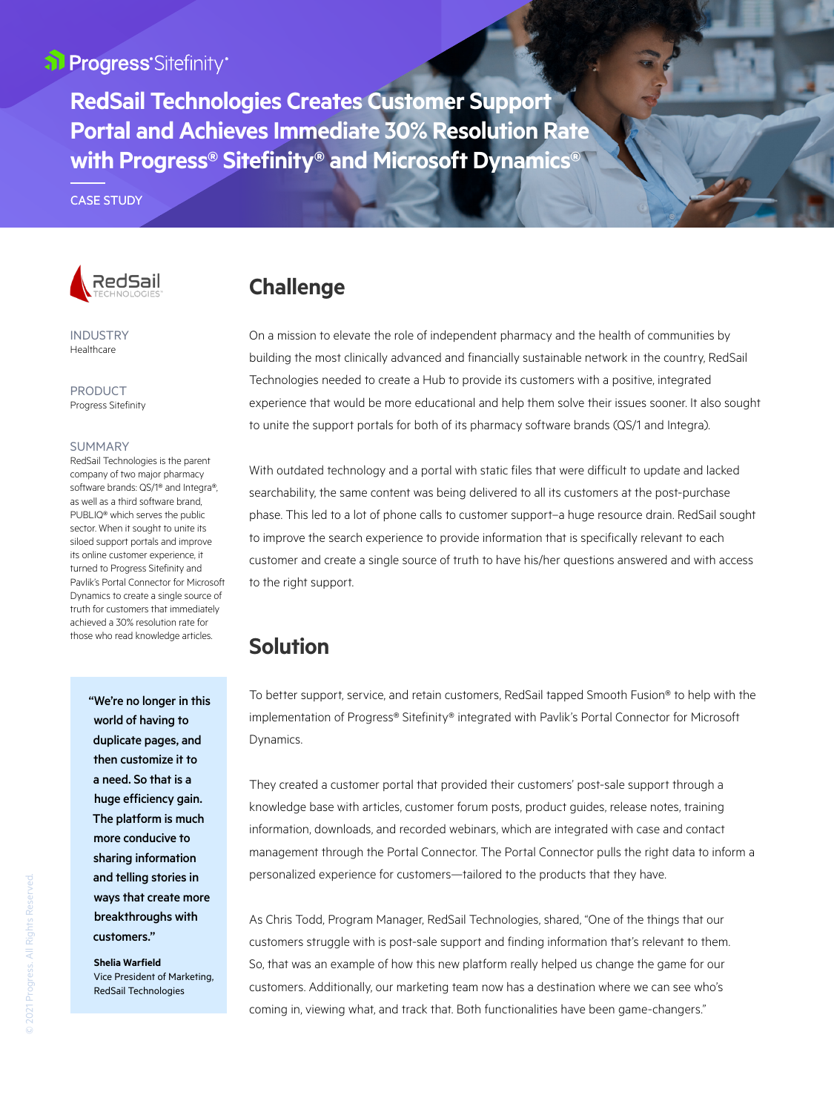## al Progress'Sitefinity®

**RedSail Technologies Creates Customer Support Portal and Achieves Immediate 30% Resolution Rate with Progress® Sitefinity® and Microsoft Dynamics®**

CASE STUDY



INDUSTRY Healthcare

**PRODUCT** Progress Sitefinity

#### **SUMMARY**

RedSail Technologies is the parent company of two major pharmacy software brands: QS/1® and Integra®, as well as a third software brand, PUBLIQ® which serves the public sector. When it sought to unite its siloed support portals and improve its online customer experience, it turned to Progress Sitefinity and Pavlik's Portal Connector for Microsoft Dynamics to create a single source of truth for customers that immediately achieved a 30% resolution rate for those who read knowledge articles.

> "We're no longer in this world of having to duplicate pages, and then customize it to a need. So that is a huge efficiency gain. The platform is much more conducive to sharing information and telling stories in ways that create more breakthroughs with customers."

**Shelia Warfield** Vice President of Marketing, RedSail Technologies

# **Challenge**

On a mission to elevate the role of independent pharmacy and the health of communities by building the most clinically advanced and financially sustainable network in the country, RedSail Technologies needed to create a Hub to provide its customers with a positive, integrated experience that would be more educational and help them solve their issues sooner. It also sought to unite the support portals for both of its pharmacy software brands (QS/1 and Integra).

With outdated technology and a portal with static files that were difficult to update and lacked searchability, the same content was being delivered to all its customers at the post-purchase phase. This led to a lot of phone calls to customer support–a huge resource drain. RedSail sought to improve the search experience to provide information that is specifically relevant to each customer and create a single source of truth to have his/her questions answered and with access to the right support.

# **Solution**

To better support, service, and retain customers, RedSail tapped Smooth Fusion® to help with the implementation of Progress® Sitefinity® integrated with Pavlik's Portal Connector for Microsoft Dynamics.

They created a customer portal that provided their customers' post-sale support through a knowledge base with articles, customer forum posts, product guides, release notes, training information, downloads, and recorded webinars, which are integrated with case and contact management through the Portal Connector. The Portal Connector pulls the right data to inform a personalized experience for customers—tailored to the products that they have.

As Chris Todd, Program Manager, RedSail Technologies, shared, "One of the things that our customers struggle with is post-sale support and finding information that's relevant to them. So, that was an example of how this new platform really helped us change the game for our customers. Additionally, our marketing team now has a destination where we can see who's coming in, viewing what, and track that. Both functionalities have been game-changers."